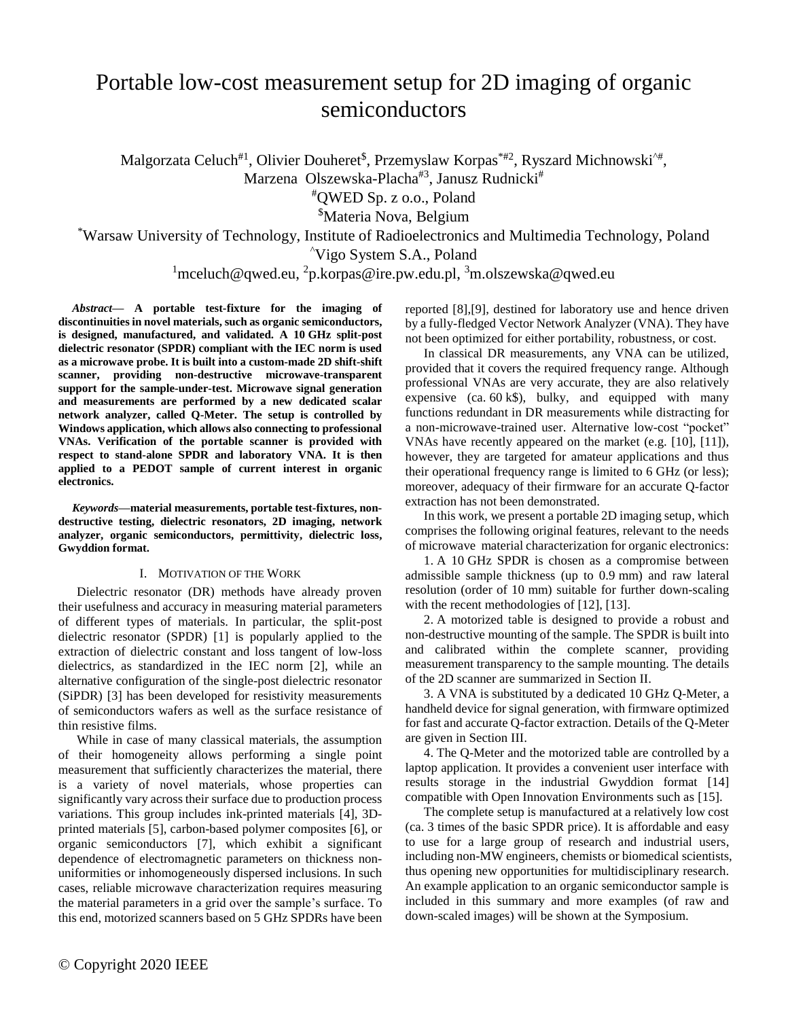# Portable low-cost measurement setup for 2D imaging of organic semiconductors

Malgorzata Celuch<sup>#1</sup>, Olivier Douheret<sup>\$</sup>, Przemyslaw Korpas<sup>\*#2</sup>, Ryszard Michnowski<sup>^#</sup>,

Marzena Olszewska-Placha<sup>#3</sup>, Janusz Rudnicki<sup>#</sup>

#QWED Sp. z o.o., Poland

\$Materia Nova, Belgium

\*Warsaw University of Technology, Institute of Radioelectronics and Multimedia Technology, Poland

^Vigo System S.A., Poland

# $\frac{1}{2}$ mceluch@qwed.eu,  $\frac{2}{2}$ [p.korpas@ire.pw.edu.pl,](mailto:2p.korpas@ire.pw.edu.pl)  $\frac{3}{2}$ m.olszewska@qwed.eu

*Abstract***— A portable test-fixture for the imaging of discontinuities in novel materials, such as organic semiconductors, is designed, manufactured, and validated. A 10 GHz split-post dielectric resonator (SPDR) compliant with the IEC norm is used as a microwave probe. It is built into a custom-made 2D shift-shift scanner, providing non-destructive microwave-transparent support for the sample-under-test. Microwave signal generation and measurements are performed by a new dedicated scalar network analyzer, called Q-Meter. The setup is controlled by Windows application, which allows also connecting to professional VNAs. Verification of the portable scanner is provided with respect to stand-alone SPDR and laboratory VNA. It is then applied to a PEDOT sample of current interest in organic electronics.**

*Keywords***—material measurements, portable test-fixtures, nondestructive testing, dielectric resonators, 2D imaging, network analyzer, organic semiconductors, permittivity, dielectric loss, Gwyddion format.**

# I. MOTIVATION OF THE WORK

Dielectric resonator (DR) methods have already proven their usefulness and accuracy in measuring material parameters of different types of materials. In particular, the split-post dielectric resonator (SPDR) [1] is popularly applied to the extraction of dielectric constant and loss tangent of low-loss dielectrics, as standardized in the IEC norm [2], while an alternative configuration of the single-post dielectric resonator (SiPDR) [3] has been developed for resistivity measurements of semiconductors wafers as well as the surface resistance of thin resistive films.

While in case of many classical materials, the assumption of their homogeneity allows performing a single point measurement that sufficiently characterizes the material, there is a variety of novel materials, whose properties can significantly vary across their surface due to production process variations. This group includes ink-printed materials [4], 3Dprinted materials [5], carbon-based polymer composites [6], or organic semiconductors [7], which exhibit a significant dependence of electromagnetic parameters on thickness nonuniformities or inhomogeneously dispersed inclusions. In such cases, reliable microwave characterization requires measuring the material parameters in a grid over the sample's surface. To this end, motorized scanners based on 5 GHz SPDRs have been

reported [8],[9], destined for laboratory use and hence driven by a fully-fledged Vector Network Analyzer (VNA). They have not been optimized for either portability, robustness, or cost.

In classical DR measurements, any VNA can be utilized, provided that it covers the required frequency range. Although professional VNAs are very accurate, they are also relatively expensive (ca.  $60 \text{ k}\$ ), bulky, and equipped with many functions redundant in DR measurements while distracting for a non-microwave-trained user. Alternative low-cost "pocket" VNAs have recently appeared on the market (e.g. [10], [11]), however, they are targeted for amateur applications and thus their operational frequency range is limited to 6 GHz (or less); moreover, adequacy of their firmware for an accurate Q-factor extraction has not been demonstrated.

In this work, we present a portable 2D imaging setup, which comprises the following original features, relevant to the needs of microwave material characterization for organic electronics:

1. A 10 GHz SPDR is chosen as a compromise between admissible sample thickness (up to 0.9 mm) and raw lateral resolution (order of 10 mm) suitable for further down-scaling with the recent methodologies of [12], [13].

2. A motorized table is designed to provide a robust and non-destructive mounting of the sample. The SPDR is built into and calibrated within the complete scanner, providing measurement transparency to the sample mounting. The details of the 2D scanner are summarized in Section II.

3. A VNA is substituted by a dedicated 10 GHz Q-Meter, a handheld device for signal generation, with firmware optimized for fast and accurate Q-factor extraction. Details of the Q-Meter are given in Section III.

4. The Q-Meter and the motorized table are controlled by a laptop application. It provides a convenient user interface with results storage in the industrial Gwyddion format [14] compatible with Open Innovation Environments such as [15].

The complete setup is manufactured at a relatively low cost (ca. 3 times of the basic SPDR price). It is affordable and easy to use for a large group of research and industrial users, including non-MW engineers, chemists or biomedical scientists, thus opening new opportunities for multidisciplinary research. An example application to an organic semiconductor sample is included in this summary and more examples (of raw and down-scaled images) will be shown at the Symposium.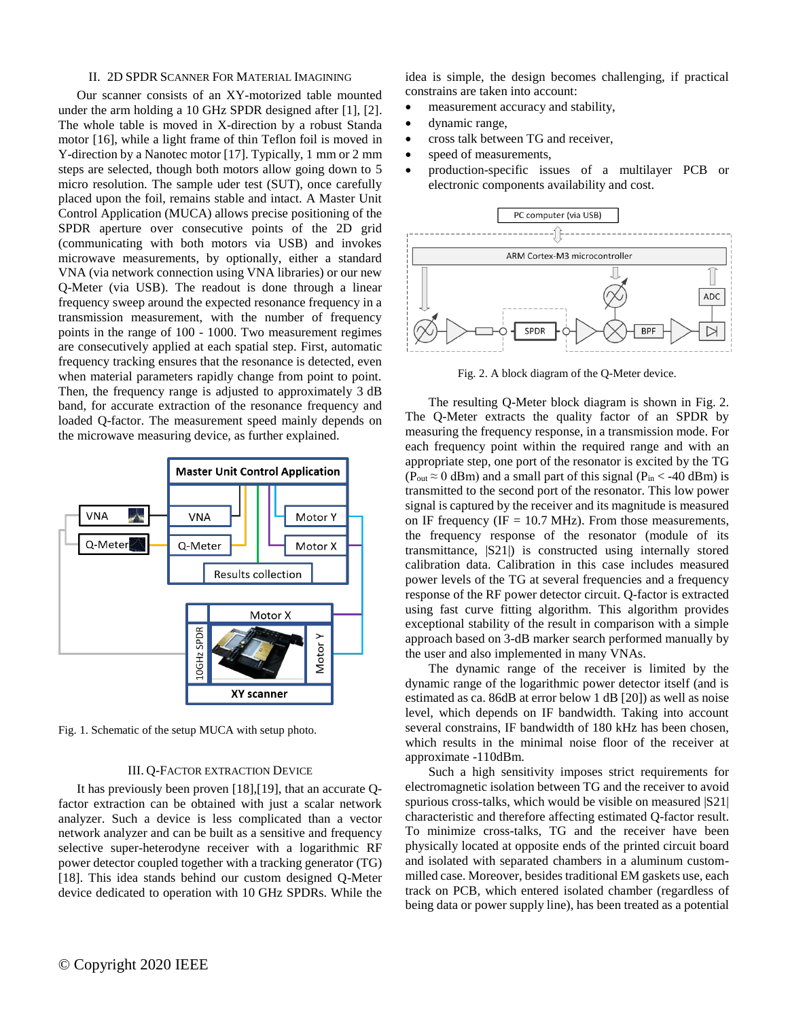### II. 2D SPDR SCANNER FOR MATERIAL IMAGINING

Our scanner consists of an XY-motorized table mounted under the arm holding a 10 GHz SPDR designed after [1], [2]. The whole table is moved in X-direction by a robust Standa motor [16], while a light frame of thin Teflon foil is moved in Y-direction by a Nanotec motor [17]. Typically, 1 mm or 2 mm steps are selected, though both motors allow going down to 5 micro resolution. The sample uder test (SUT), once carefully placed upon the foil, remains stable and intact. A Master Unit Control Application (MUCA) allows precise positioning of the SPDR aperture over consecutive points of the 2D grid (communicating with both motors via USB) and invokes microwave measurements, by optionally, either a standard VNA (via network connection using VNA libraries) or our new Q-Meter (via USB). The readout is done through a linear frequency sweep around the expected resonance frequency in a transmission measurement, with the number of frequency points in the range of 100 - 1000. Two measurement regimes are consecutively applied at each spatial step. First, automatic frequency tracking ensures that the resonance is detected, even when material parameters rapidly change from point to point. Then, the frequency range is adjusted to approximately 3 dB band, for accurate extraction of the resonance frequency and loaded Q-factor. The measurement speed mainly depends on the microwave measuring device, as further explained.



Fig. 1. Schematic of the setup MUCA with setup photo.

# III. Q-FACTOR EXTRACTION DEVICE

It has previously been proven [18],[19], that an accurate Qfactor extraction can be obtained with just a scalar network analyzer. Such a device is less complicated than a vector network analyzer and can be built as a sensitive and frequency selective super-heterodyne receiver with a logarithmic RF power detector coupled together with a tracking generator (TG) [18]. This idea stands behind our custom designed Q-Meter device dedicated to operation with 10 GHz SPDRs. While the

idea is simple, the design becomes challenging, if practical constrains are taken into account:

- measurement accuracy and stability,
- dynamic range,
- cross talk between TG and receiver,
- speed of measurements,
- production-specific issues of a multilayer PCB or electronic components availability and cost.



Fig. 2. A block diagram of the Q-Meter device.

The resulting Q-Meter block diagram is shown in Fig. 2. The Q-Meter extracts the quality factor of an SPDR by measuring the frequency response, in a transmission mode. For each frequency point within the required range and with an appropriate step, one port of the resonator is excited by the TG ( $P_{out} \approx 0$  dBm) and a small part of this signal ( $P_{in} <$  -40 dBm) is transmitted to the second port of the resonator. This low power signal is captured by the receiver and its magnitude is measured on IF frequency (IF  $= 10.7$  MHz). From those measurements, the frequency response of the resonator (module of its transmittance, |S21|) is constructed using internally stored calibration data. Calibration in this case includes measured power levels of the TG at several frequencies and a frequency response of the RF power detector circuit. Q-factor is extracted using fast curve fitting algorithm. This algorithm provides exceptional stability of the result in comparison with a simple approach based on 3-dB marker search performed manually by the user and also implemented in many VNAs.

The dynamic range of the receiver is limited by the dynamic range of the logarithmic power detector itself (and is estimated as ca. 86dB at error below 1 dB [20]) as well as noise level, which depends on IF bandwidth. Taking into account several constrains, IF bandwidth of 180 kHz has been chosen, which results in the minimal noise floor of the receiver at approximate -110dBm.

Such a high sensitivity imposes strict requirements for electromagnetic isolation between TG and the receiver to avoid spurious cross-talks, which would be visible on measured  $|S21|$ characteristic and therefore affecting estimated Q-factor result. To minimize cross-talks, TG and the receiver have been physically located at opposite ends of the printed circuit board and isolated with separated chambers in a aluminum custommilled case. Moreover, besides traditional EM gaskets use, each track on PCB, which entered isolated chamber (regardless of being data or power supply line), has been treated as a potential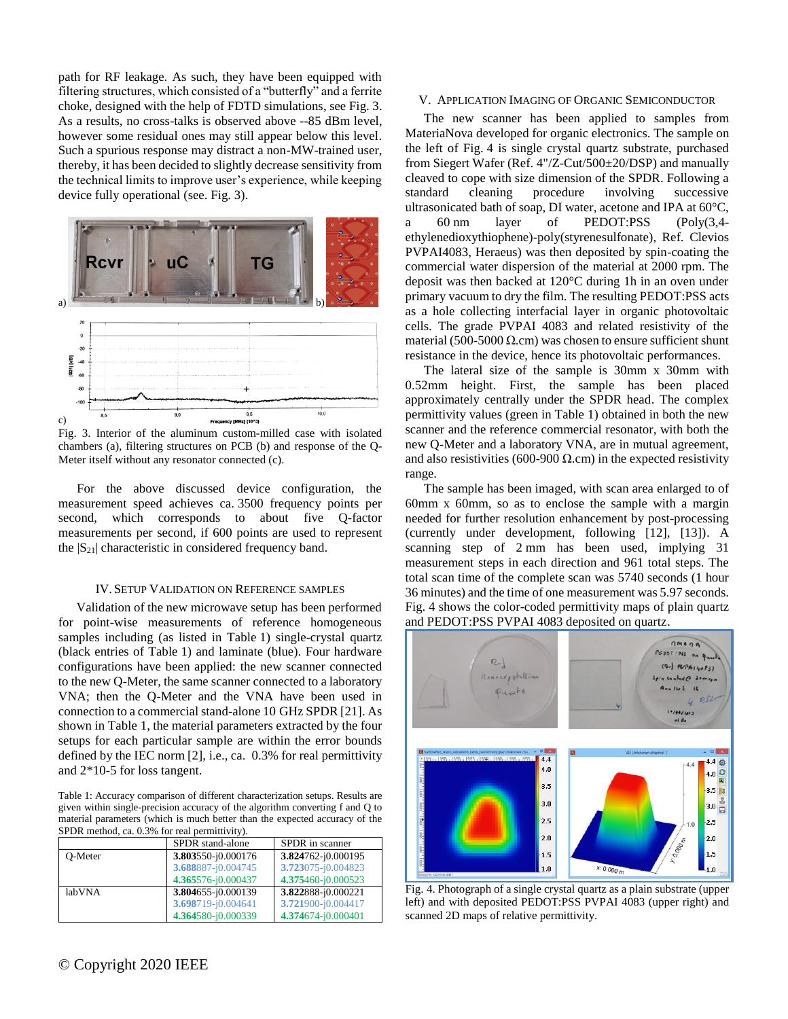path for RF leakage. As such, they have been equipped with filtering structures, which consisted of a "butterfly" and a ferrite choke, designed with the help of FDTD simulations, see Fig. 3. As a results, no cross-talks is observed above --85 dBm level, however some residual ones may still appear below this level. Such a spurious response may distract a non-MW-trained user, thereby, it has been decided to slightly decrease sensitivity from the technical limits to improve user's experience, while keeping device fully operational (see. Fig. 3).



Fig. 3. Interior of the aluminum custom-milled case with isolated chambers (a), filtering structures on PCB (b) and response of the Q-Meter itself without any resonator connected (c).

For the above discussed device configuration, the measurement speed achieves ca. 3500 frequency points per second, which corresponds to about five Q-factor measurements per second, if 600 points are used to represent the  $|S_{21}|$  characteristic in considered frequency band.

#### IV.SETUP VALIDATION ON REFERENCE SAMPLES

Validation of the new microwave setup has been performed for point-wise measurements of reference homogeneous samples including (as listed in Table 1) single-crystal quartz (black entries of Table 1) and laminate (blue). Four hardware configurations have been applied: the new scanner connected to the new Q-Meter, the same scanner connected to a laboratory VNA; then the Q-Meter and the VNA have been used in connection to a commercial stand-alone 10 GHz SPDR [21]. As shown in Table 1, the material parameters extracted by the four setups for each particular sample are within the error bounds defined by the IEC norm [2], i.e., ca. 0.3% for real permittivity and 2\*10-5 for loss tangent.

Table 1: Accuracy comparison of different characterization setups. Results are given within single-precision accuracy of the algorithm converting f and Q to material parameters (which is much better than the expected accuracy of the SPDR method, ca. 0.3% for real permittivity).

|         | SPDR stand-alone   | SPDR in scanner    |
|---------|--------------------|--------------------|
| O-Meter | 3.803550-j0.000176 | 3.824762-j0.000195 |
|         | 3.688887-j0.004745 | 3.723075-j0.004823 |
|         | 4.365576-j0.000437 | 4.375460-j0.000523 |
| labVNA  | 3.804655-j0.000139 | 3.822888-j0.000221 |
|         | 3.698719-j0.004641 | 3.721900-j0.004417 |
|         | 4.364580-j0.000339 | 4.374674-j0.000401 |

# V. APPLICATION IMAGING OF ORGANIC SEMICONDUCTOR

The new scanner has been applied to samples from MateriaNova developed for organic electronics. The sample on the left of Fig. 4 is single crystal quartz substrate, purchased from Siegert Wafer (Ref. 4"/Z-Cut/500±20/DSP) and manually cleaved to cope with size dimension of the SPDR. Following a standard cleaning procedure involving successive ultrasonicated bath of soap, DI water, acetone and IPA at 60°C, a 60 nm layer of PEDOT:PSS (Poly(3,4 ethylenedioxythiophene)-poly(styrenesulfonate), Ref. Clevios PVPAI4083, Heraeus) was then deposited by spin-coating the commercial water dispersion of the material at 2000 rpm. The deposit was then backed at 120°C during 1h in an oven under primary vacuum to dry the film. The resulting PEDOT:PSS acts as a hole collecting interfacial layer in organic photovoltaic cells. The grade PVPAI 4083 and related resistivity of the material (500-5000  $\Omega$ .cm) was chosen to ensure sufficient shunt resistance in the device, hence its photovoltaic performances.

The lateral size of the sample is 30mm x 30mm with 0.52mm height. First, the sample has been placed approximately centrally under the SPDR head. The complex permittivity values (green in Table 1) obtained in both the new scanner and the reference commercial resonator, with both the new Q-Meter and a laboratory VNA, are in mutual agreement, and also resistivities (600-900  $\Omega$ .cm) in the expected resistivity range.

The sample has been imaged, with scan area enlarged to of 60mm x 60mm, so as to enclose the sample with a margin needed for further resolution enhancement by post-processing (currently under development, following [12], [13]). A scanning step of 2 mm has been used, implying 31 measurement steps in each direction and 961 total steps. The total scan time of the complete scan was 5740 seconds (1 hour 36 minutes) and the time of one measurement was 5.97 seconds. Fig. 4 shows the color-coded permittivity maps of plain quartz and PEDOT:PSS PVPAI 4083 deposited on quartz.



Fig. 4. Photograph of a single crystal quartz as a plain substrate (upper left) and with deposited PEDOT:PSS PVPAI 4083 (upper right) and scanned 2D maps of relative permittivity.